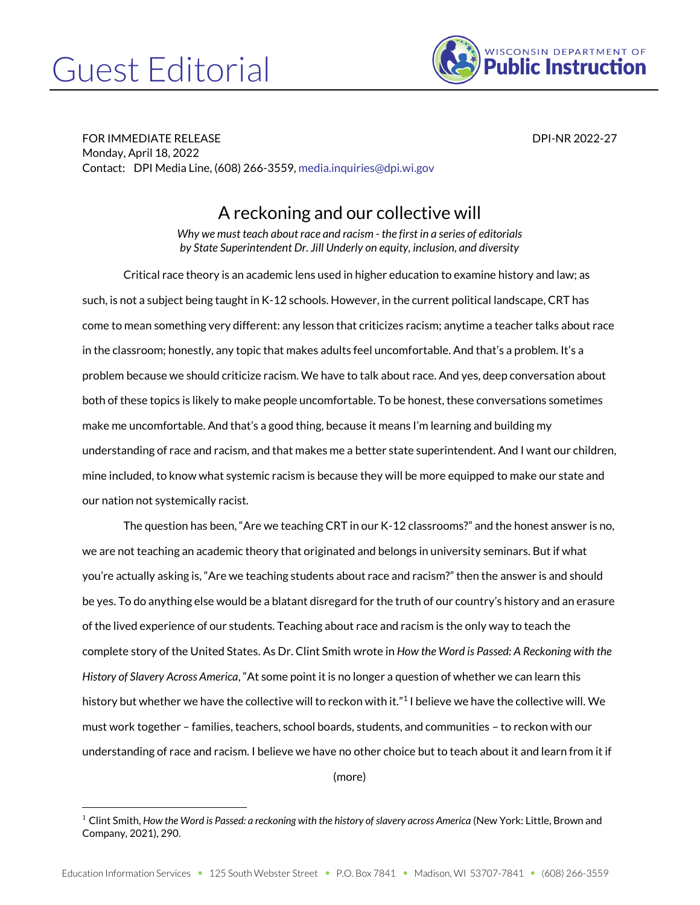## Guest Editorial



FOR IMMEDIATE RELEASE DESCRIPTION OF THE SERVICE OF THE SERVICE OF THE SERVICE OF THE SERVICE OF THE SERVICE O Monday, April 18, 2022 Contact: DPI Media Line, (608) 266-3559[, media.inquiries@dpi.wi.gov](mailto:media.inquiries@dpi.wi.gov)

## A reckoning and our collective will

*Why we must teach about race and racism - the first in a series of editorials by State Superintendent Dr. Jill Underly on equity, inclusion, and diversity*

Critical race theory is an academic lens used in higher education to examine history and law; as such, is not a subject being taught in K-12 schools. However, in the current political landscape, CRT has come to mean something very different: any lesson that criticizes racism; anytime a teacher talks about race in the classroom; honestly, any topic that makes adults feel uncomfortable. And that's a problem. It's a problem because we should criticize racism. We have to talk about race. And yes, deep conversation about both of these topics is likely to make people uncomfortable. To be honest, these conversations sometimes make me uncomfortable. And that's a good thing, because it means I'm learning and building my understanding of race and racism, and that makes me a better state superintendent. And I want our children, mine included, to know what systemic racism is because they will be more equipped to make our state and our nation not systemically racist.

The question has been, "Are we teaching CRT in our K-12 classrooms?" and the honest answer is no, we are not teaching an academic theory that originated and belongs in university seminars. But if what you're actually asking is, "Are we teaching students about race and racism?" then the answer is and should be yes. To do anything else would be a blatant disregard for the truth of our country's history and an erasure of the lived experience of our students. Teaching about race and racism is the only way to teach the complete story of the United States. As Dr. Clint Smith wrote in *How the Word is Passed: A Reckoning with the History of Slavery Across America*, "At some point it is no longer a question of whether we can learn this history but whether we have the collective will to reckon with it."1 I believe we have the collective will. We must work together – families, teachers, school boards, students, and communities – to reckon with our understanding of race and racism. I believe we have no other choice but to teach about it and learn from it if

(more)

<sup>1</sup> Clint Smith, *How the Word is Passed: a reckoning with the history of slavery across America* (New York: Little, Brown and Company, 2021), 290.